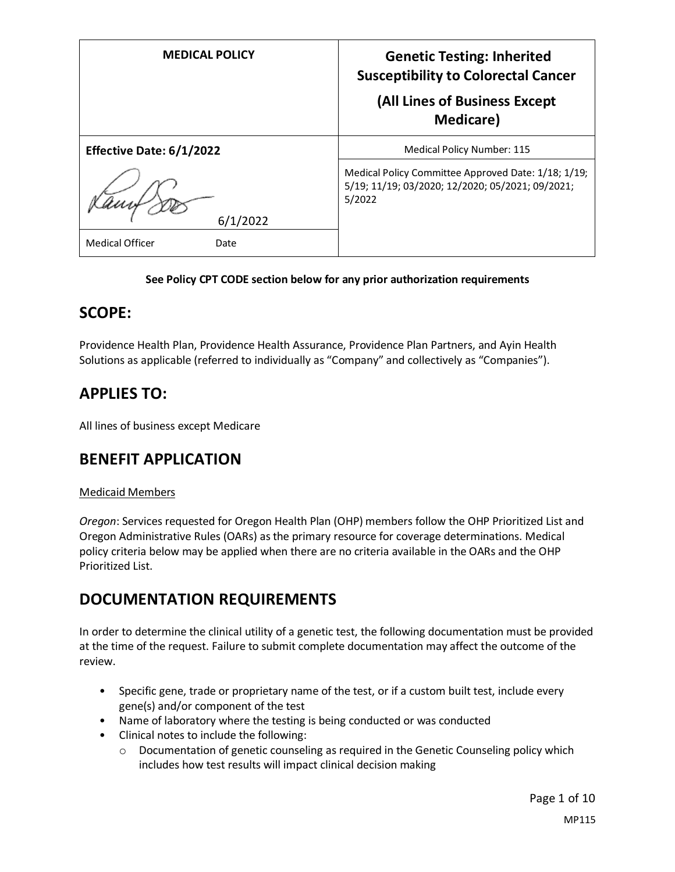| <b>MEDICAL POLICY</b>          | <b>Genetic Testing: Inherited</b><br><b>Susceptibility to Colorectal Cancer</b><br>(All Lines of Business Except<br><b>Medicare</b> ) |
|--------------------------------|---------------------------------------------------------------------------------------------------------------------------------------|
| Effective Date: 6/1/2022       | Medical Policy Number: 115                                                                                                            |
| 6/1/2022                       | Medical Policy Committee Approved Date: 1/18; 1/19;<br>5/19; 11/19; 03/2020; 12/2020; 05/2021; 09/2021;<br>5/2022                     |
| <b>Medical Officer</b><br>Date |                                                                                                                                       |

## **See Policy CPT CODE section below for any prior authorization requirements**

## **SCOPE:**

Providence Health Plan, Providence Health Assurance, Providence Plan Partners, and Ayin Health Solutions as applicable (referred to individually as "Company" and collectively as "Companies").

# **APPLIES TO:**

All lines of business except Medicare

## **BENEFIT APPLICATION**

## Medicaid Members

*Oregon*: Services requested for Oregon Health Plan (OHP) members follow the OHP Prioritized List and Oregon Administrative Rules (OARs) as the primary resource for coverage determinations. Medical policy criteria below may be applied when there are no criteria available in the OARs and the OHP Prioritized List.

## **DOCUMENTATION REQUIREMENTS**

In order to determine the clinical utility of a genetic test, the following documentation must be provided at the time of the request. Failure to submit complete documentation may affect the outcome of the review.

- Specific gene, trade or proprietary name of the test, or if a custom built test, include every gene(s) and/or component of the test
- Name of laboratory where the testing is being conducted or was conducted
- Clinical notes to include the following:
	- $\circ$  Documentation of genetic counseling as required in the Genetic Counseling policy which includes how test results will impact clinical decision making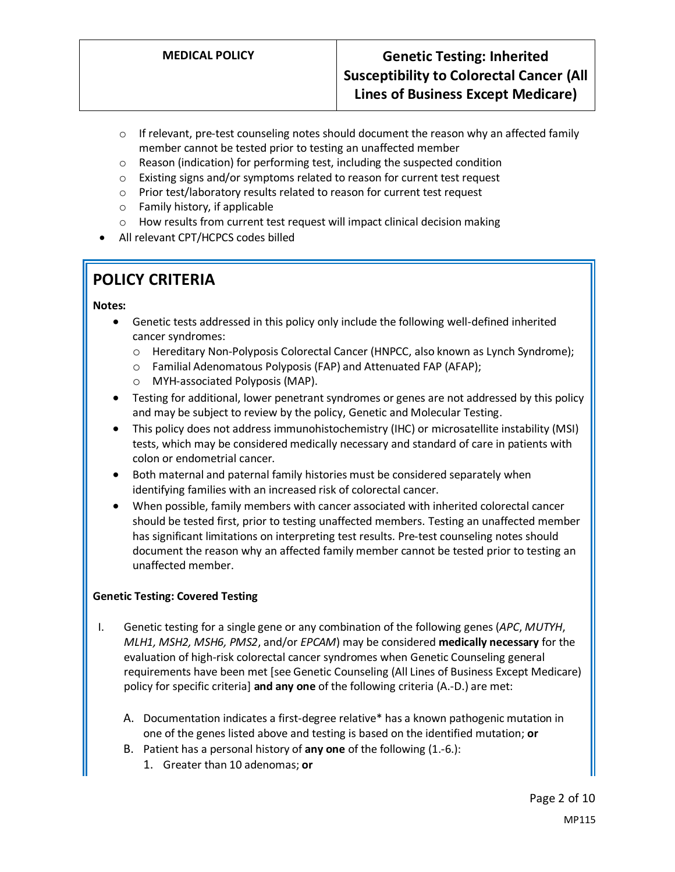- $\circ$  If relevant, pre-test counseling notes should document the reason why an affected family member cannot be tested prior to testing an unaffected member
- o Reason (indication) for performing test, including the suspected condition
- o Existing signs and/or symptoms related to reason for current test request
- o Prior test/laboratory results related to reason for current test request
- o Family history, if applicable
- o How results from current test request will impact clinical decision making
- All relevant CPT/HCPCS codes billed

# **POLICY CRITERIA**

#### **Notes:**

- Genetic tests addressed in this policy only include the following well-defined inherited cancer syndromes:
	- o Hereditary Non-Polyposis Colorectal Cancer (HNPCC, also known as Lynch Syndrome);
	- o Familial Adenomatous Polyposis (FAP) and Attenuated FAP (AFAP);
	- o MYH-associated Polyposis (MAP).
- Testing for additional, lower penetrant syndromes or genes are not addressed by this policy and may be subject to review by the policy, Genetic and Molecular Testing.
- This policy does not address immunohistochemistry (IHC) or microsatellite instability (MSI) tests, which may be considered medically necessary and standard of care in patients with colon or endometrial cancer.
- Both maternal and paternal family histories must be considered separately when identifying families with an increased risk of colorectal cancer.
- When possible, family members with cancer associated with inherited colorectal cancer should be tested first, prior to testing unaffected members. Testing an unaffected member has significant limitations on interpreting test results. Pre-test counseling notes should document the reason why an affected family member cannot be tested prior to testing an unaffected member.

## **Genetic Testing: Covered Testing**

- I. Genetic testing for a single gene or any combination of the following genes (*APC*, *MUTYH*, *MLH1, MSH2, MSH6, PMS2*, and/or *EPCAM*) may be considered **medically necessary** for the evaluation of high-risk colorectal cancer syndromes when Genetic Counseling general requirements have been met [see Genetic Counseling (All Lines of Business Except Medicare) policy for specific criteria] **and any one** of the following criteria (A.-D.) are met:
	- A. Documentation indicates a first-degree relative\* has a known pathogenic mutation in one of the genes listed above and testing is based on the identified mutation; **or**
	- B. Patient has a personal history of **any one** of the following (1.-6.):
		- 1. Greater than 10 adenomas; **or**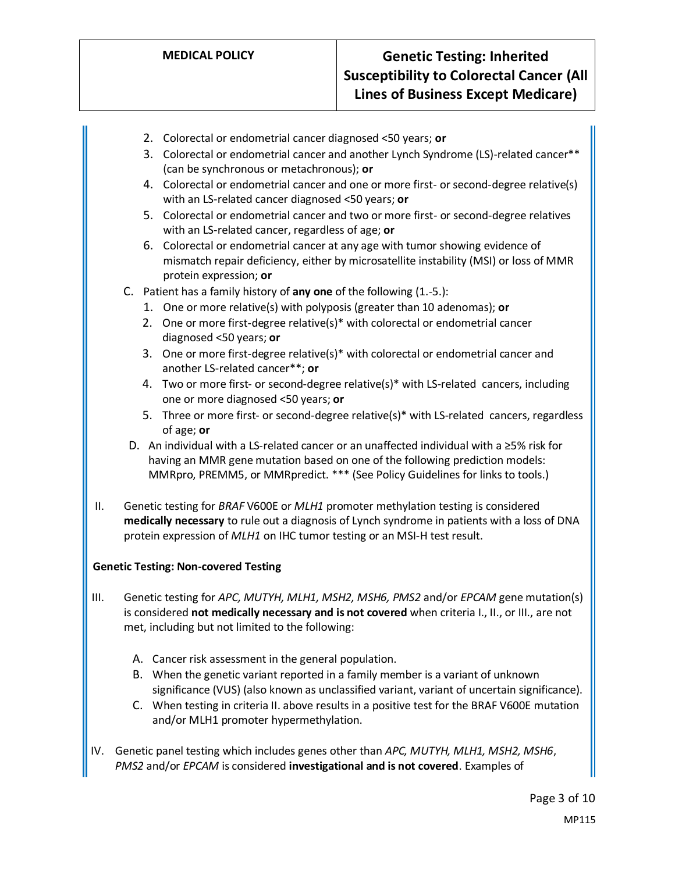- 2. Colorectal or endometrial cancer diagnosed <50 years; **or**
- 3. Colorectal or endometrial cancer and another Lynch Syndrome (LS)-related cancer\*\* (can be synchronous or metachronous); **or**
- 4. Colorectal or endometrial cancer and one or more first- or second-degree relative(s) with an LS-related cancer diagnosed <50 years; **or**
- 5. Colorectal or endometrial cancer and two or more first- or second-degree relatives with an LS-related cancer, regardless of age; **or**
- 6. Colorectal or endometrial cancer at any age with tumor showing evidence of mismatch repair deficiency, either by microsatellite instability (MSI) or loss of MMR protein expression; **or**
- C. Patient has a family history of **any one** of the following (1.-5.):
	- 1. One or more relative(s) with polyposis (greater than 10 adenomas); **or**
	- 2. One or more first-degree relative(s)\* with colorectal or endometrial cancer diagnosed <50 years; **or**
	- 3. One or more first-degree relative(s)\* with colorectal or endometrial cancer and another LS-related cancer\*\*; **or**
	- 4. Two or more first- or second-degree relative(s)\* with LS-related cancers, including one or more diagnosed <50 years; **or**
	- 5. Three or more first- or second-degree relative(s)\* with LS-related cancers, regardless of age; **or**
- D. An individual with a LS-related cancer or an unaffected individual with a ≥5% risk for having an MMR gene mutation based on one of the following prediction models: MMRpro, PREMM5, or MMRpredict. \*\*\* (See Policy Guidelines for links to tools.)
- II. Genetic testing for *BRAF* V600E or *MLH1* promoter methylation testing is considered **medically necessary** to rule out a diagnosis of Lynch syndrome in patients with a loss of DNA protein expression of *MLH1* on IHC tumor testing or an MSI-H test result.

#### **Genetic Testing: Non-covered Testing**

- III. Genetic testing for *APC, MUTYH, MLH1, MSH2, MSH6, PMS2* and/or *EPCAM* gene mutation(s) is considered **not medically necessary and is not covered** when criteria I., II., or III., are not met, including but not limited to the following:
	- A. Cancer risk assessment in the general population.
	- B. When the genetic variant reported in a family member is a variant of unknown significance (VUS) (also known as unclassified variant, variant of uncertain significance).
	- C. When testing in criteria II. above results in a positive test for the BRAF V600E mutation and/or MLH1 promoter hypermethylation.
- IV. Genetic panel testing which includes genes other than *APC, MUTYH, MLH1, MSH2, MSH6*, *PMS2* and/or *EPCAM* is considered **investigational and is not covered**. Examples of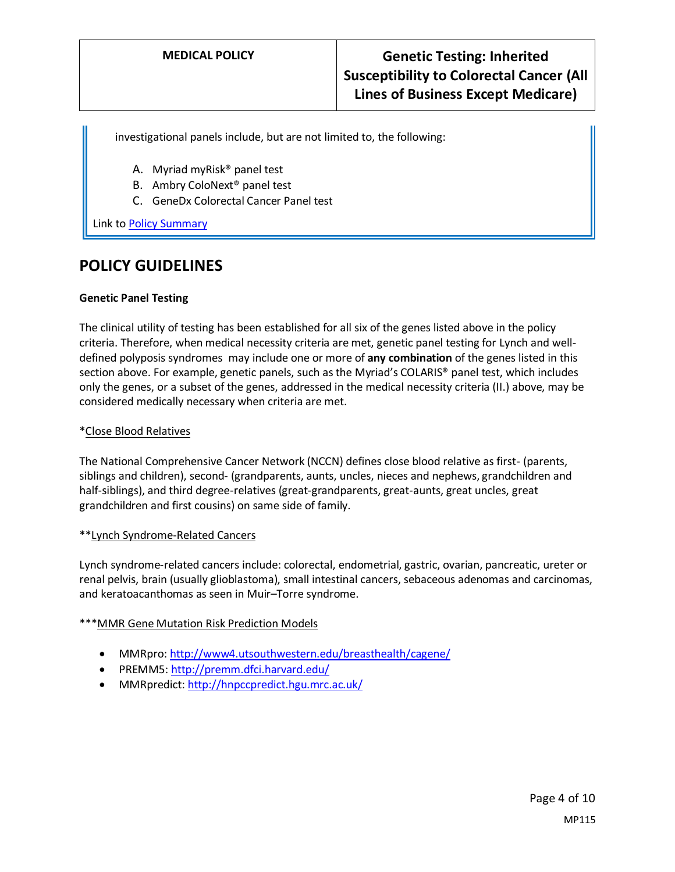investigational panels include, but are not limited to, the following:

- A. Myriad myRisk® panel test
- B. Ambry ColoNext® panel test
- C. GeneDx Colorectal Cancer Panel test

Link t[o Policy Summary](#page-7-0)

## **POLICY GUIDELINES**

#### **Genetic Panel Testing**

The clinical utility of testing has been established for all six of the genes listed above in the policy criteria. Therefore, when medical necessity criteria are met, genetic panel testing for Lynch and welldefined polyposis syndromes may include one or more of **any combination** of the genes listed in this section above. For example, genetic panels, such as the Myriad's COLARIS® panel test, which includes only the genes, or a subset of the genes, addressed in the medical necessity criteria (II.) above, may be considered medically necessary when criteria are met.

#### \*Close Blood Relatives

The National Comprehensive Cancer Network (NCCN) defines close blood relative as first- (parents, siblings and children), second- (grandparents, aunts, uncles, nieces and nephews, grandchildren and half-siblings), and third degree-relatives (great-grandparents, great-aunts, great uncles, great grandchildren and first cousins) on same side of family.

#### \*\*Lynch Syndrome-Related Cancers

Lynch syndrome-related cancers include: colorectal, endometrial, gastric, ovarian, pancreatic, ureter or renal pelvis, brain (usually glioblastoma), small intestinal cancers, sebaceous adenomas and carcinomas, and keratoacanthomas as seen in Muir–Torre syndrome.

#### \*\*\*MMR Gene Mutation Risk Prediction Models

- MMRpro[: http://www4.utsouthwestern.edu/breasthealth/cagene/](http://www4.utsouthwestern.edu/breasthealth/cagene/)
- PREMM5:<http://premm.dfci.harvard.edu/>
- MMRpredict:<http://hnpccpredict.hgu.mrc.ac.uk/>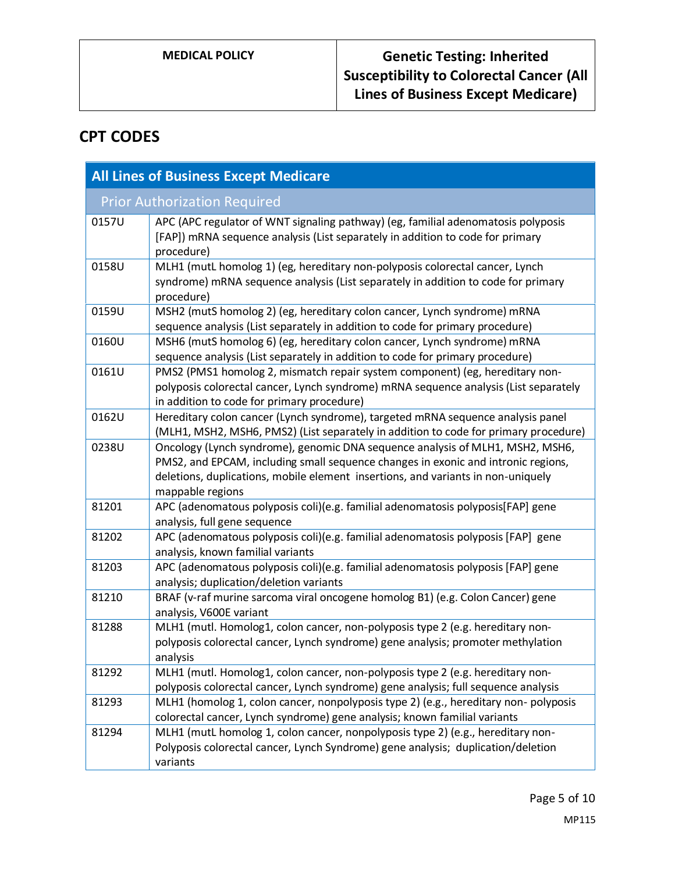## **CPT CODES**

| <b>All Lines of Business Except Medicare</b> |                                                                                                                                                                                                                                                                            |  |
|----------------------------------------------|----------------------------------------------------------------------------------------------------------------------------------------------------------------------------------------------------------------------------------------------------------------------------|--|
| <b>Prior Authorization Required</b>          |                                                                                                                                                                                                                                                                            |  |
| 0157U                                        | APC (APC regulator of WNT signaling pathway) (eg, familial adenomatosis polyposis<br>[FAP]) mRNA sequence analysis (List separately in addition to code for primary<br>procedure)                                                                                          |  |
| 0158U                                        | MLH1 (mutL homolog 1) (eg, hereditary non-polyposis colorectal cancer, Lynch<br>syndrome) mRNA sequence analysis (List separately in addition to code for primary<br>procedure)                                                                                            |  |
| 0159U                                        | MSH2 (mutS homolog 2) (eg, hereditary colon cancer, Lynch syndrome) mRNA<br>sequence analysis (List separately in addition to code for primary procedure)                                                                                                                  |  |
| 0160U                                        | MSH6 (mutS homolog 6) (eg, hereditary colon cancer, Lynch syndrome) mRNA<br>sequence analysis (List separately in addition to code for primary procedure)                                                                                                                  |  |
| 0161U                                        | PMS2 (PMS1 homolog 2, mismatch repair system component) (eg, hereditary non-<br>polyposis colorectal cancer, Lynch syndrome) mRNA sequence analysis (List separately<br>in addition to code for primary procedure)                                                         |  |
| 0162U                                        | Hereditary colon cancer (Lynch syndrome), targeted mRNA sequence analysis panel<br>(MLH1, MSH2, MSH6, PMS2) (List separately in addition to code for primary procedure)                                                                                                    |  |
| 0238U                                        | Oncology (Lynch syndrome), genomic DNA sequence analysis of MLH1, MSH2, MSH6,<br>PMS2, and EPCAM, including small sequence changes in exonic and intronic regions,<br>deletions, duplications, mobile element insertions, and variants in non-uniquely<br>mappable regions |  |
| 81201                                        | APC (adenomatous polyposis coli)(e.g. familial adenomatosis polyposis[FAP] gene<br>analysis, full gene sequence                                                                                                                                                            |  |
| 81202                                        | APC (adenomatous polyposis coli)(e.g. familial adenomatosis polyposis [FAP] gene<br>analysis, known familial variants                                                                                                                                                      |  |
| 81203                                        | APC (adenomatous polyposis coli)(e.g. familial adenomatosis polyposis [FAP] gene<br>analysis; duplication/deletion variants                                                                                                                                                |  |
| 81210                                        | BRAF (v-raf murine sarcoma viral oncogene homolog B1) (e.g. Colon Cancer) gene<br>analysis, V600E variant                                                                                                                                                                  |  |
| 81288                                        | MLH1 (mutl. Homolog1, colon cancer, non-polyposis type 2 (e.g. hereditary non-<br>polyposis colorectal cancer, Lynch syndrome) gene analysis; promoter methylation<br>analysis                                                                                             |  |
| 81292                                        | MLH1 (mutl. Homolog1, colon cancer, non-polyposis type 2 (e.g. hereditary non-<br>polyposis colorectal cancer, Lynch syndrome) gene analysis; full sequence analysis                                                                                                       |  |
| 81293                                        | MLH1 (homolog 1, colon cancer, nonpolyposis type 2) (e.g., hereditary non-polyposis<br>colorectal cancer, Lynch syndrome) gene analysis; known familial variants                                                                                                           |  |
| 81294                                        | MLH1 (mutL homolog 1, colon cancer, nonpolyposis type 2) (e.g., hereditary non-<br>Polyposis colorectal cancer, Lynch Syndrome) gene analysis; duplication/deletion<br>variants                                                                                            |  |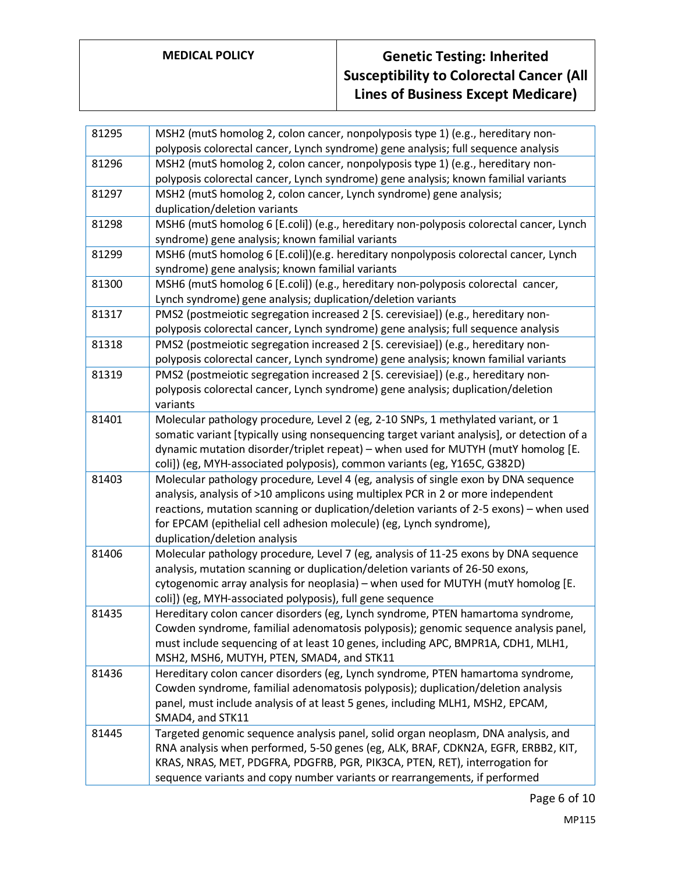# **MEDICAL POLICY Genetic Testing: Inherited Susceptibility to Colorectal Cancer (All Lines of Business Except Medicare)**

| 81295 | MSH2 (mutS homolog 2, colon cancer, nonpolyposis type 1) (e.g., hereditary non-                                                                                        |
|-------|------------------------------------------------------------------------------------------------------------------------------------------------------------------------|
|       | polyposis colorectal cancer, Lynch syndrome) gene analysis; full sequence analysis                                                                                     |
| 81296 | MSH2 (mutS homolog 2, colon cancer, nonpolyposis type 1) (e.g., hereditary non-                                                                                        |
|       | polyposis colorectal cancer, Lynch syndrome) gene analysis; known familial variants                                                                                    |
| 81297 | MSH2 (mutS homolog 2, colon cancer, Lynch syndrome) gene analysis;                                                                                                     |
|       | duplication/deletion variants                                                                                                                                          |
| 81298 | MSH6 (mutS homolog 6 [E.coli]) (e.g., hereditary non-polyposis colorectal cancer, Lynch                                                                                |
|       | syndrome) gene analysis; known familial variants                                                                                                                       |
| 81299 | MSH6 (mutS homolog 6 [E.coli])(e.g. hereditary nonpolyposis colorectal cancer, Lynch                                                                                   |
|       | syndrome) gene analysis; known familial variants                                                                                                                       |
| 81300 | MSH6 (mutS homolog 6 [E.coli]) (e.g., hereditary non-polyposis colorectal cancer,                                                                                      |
|       | Lynch syndrome) gene analysis; duplication/deletion variants                                                                                                           |
| 81317 | PMS2 (postmeiotic segregation increased 2 [S. cerevisiae]) (e.g., hereditary non-                                                                                      |
|       | polyposis colorectal cancer, Lynch syndrome) gene analysis; full sequence analysis                                                                                     |
| 81318 | PMS2 (postmeiotic segregation increased 2 [S. cerevisiae]) (e.g., hereditary non-                                                                                      |
|       | polyposis colorectal cancer, Lynch syndrome) gene analysis; known familial variants                                                                                    |
| 81319 | PMS2 (postmeiotic segregation increased 2 [S. cerevisiae]) (e.g., hereditary non-                                                                                      |
|       | polyposis colorectal cancer, Lynch syndrome) gene analysis; duplication/deletion                                                                                       |
|       | variants                                                                                                                                                               |
| 81401 | Molecular pathology procedure, Level 2 (eg, 2-10 SNPs, 1 methylated variant, or 1                                                                                      |
|       | somatic variant [typically using nonsequencing target variant analysis], or detection of a                                                                             |
|       | dynamic mutation disorder/triplet repeat) - when used for MUTYH (mutY homolog [E.                                                                                      |
|       | coli]) (eg, MYH-associated polyposis), common variants (eg, Y165C, G382D)                                                                                              |
| 81403 | Molecular pathology procedure, Level 4 (eg, analysis of single exon by DNA sequence                                                                                    |
|       | analysis, analysis of >10 amplicons using multiplex PCR in 2 or more independent                                                                                       |
|       | reactions, mutation scanning or duplication/deletion variants of 2-5 exons) - when used                                                                                |
|       | for EPCAM (epithelial cell adhesion molecule) (eg, Lynch syndrome),                                                                                                    |
|       | duplication/deletion analysis                                                                                                                                          |
| 81406 | Molecular pathology procedure, Level 7 (eg, analysis of 11-25 exons by DNA sequence                                                                                    |
|       | analysis, mutation scanning or duplication/deletion variants of 26-50 exons,                                                                                           |
|       | cytogenomic array analysis for neoplasia) - when used for MUTYH (mutY homolog [E.                                                                                      |
| 81435 | coli]) (eg, MYH-associated polyposis), full gene sequence                                                                                                              |
|       | Hereditary colon cancer disorders (eg, Lynch syndrome, PTEN hamartoma syndrome,<br>Cowden syndrome, familial adenomatosis polyposis); genomic sequence analysis panel, |
|       | must include sequencing of at least 10 genes, including APC, BMPR1A, CDH1, MLH1,                                                                                       |
|       | MSH2, MSH6, MUTYH, PTEN, SMAD4, and STK11                                                                                                                              |
| 81436 | Hereditary colon cancer disorders (eg, Lynch syndrome, PTEN hamartoma syndrome,                                                                                        |
|       | Cowden syndrome, familial adenomatosis polyposis); duplication/deletion analysis                                                                                       |
|       | panel, must include analysis of at least 5 genes, including MLH1, MSH2, EPCAM,                                                                                         |
|       | SMAD4, and STK11                                                                                                                                                       |
| 81445 | Targeted genomic sequence analysis panel, solid organ neoplasm, DNA analysis, and                                                                                      |
|       | RNA analysis when performed, 5-50 genes (eg, ALK, BRAF, CDKN2A, EGFR, ERBB2, KIT,                                                                                      |
|       | KRAS, NRAS, MET, PDGFRA, PDGFRB, PGR, PIK3CA, PTEN, RET), interrogation for                                                                                            |
|       | sequence variants and copy number variants or rearrangements, if performed                                                                                             |
|       |                                                                                                                                                                        |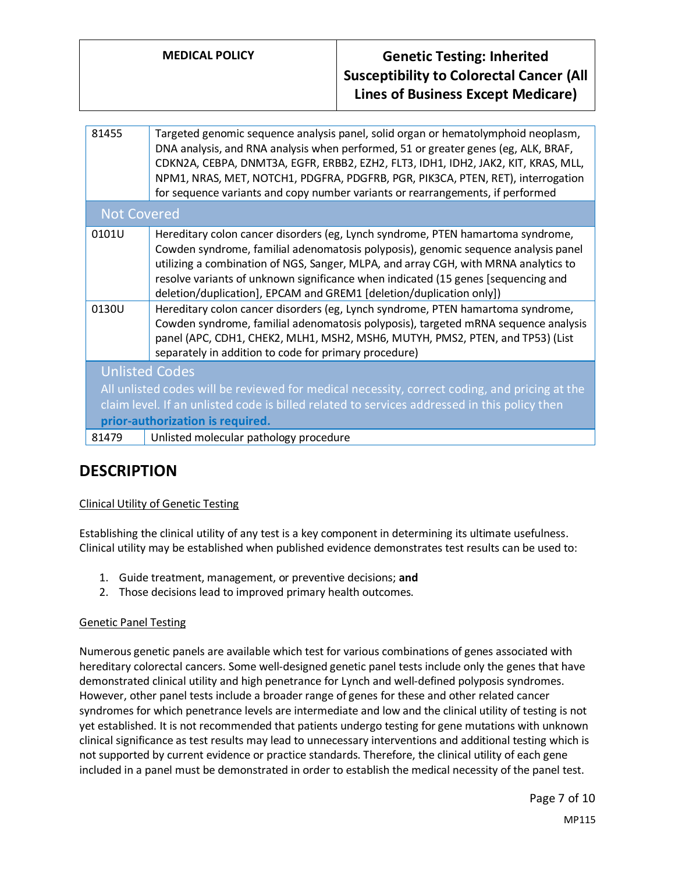## **MEDICAL POLICY Genetic Testing: Inherited Susceptibility to Colorectal Cancer (All Lines of Business Except Medicare)**

| 81455                                                                                         | Targeted genomic sequence analysis panel, solid organ or hematolymphoid neoplasm,<br>DNA analysis, and RNA analysis when performed, 51 or greater genes (eg, ALK, BRAF,<br>CDKN2A, CEBPA, DNMT3A, EGFR, ERBB2, EZH2, FLT3, IDH1, IDH2, JAK2, KIT, KRAS, MLL,<br>NPM1, NRAS, MET, NOTCH1, PDGFRA, PDGFRB, PGR, PIK3CA, PTEN, RET), interrogation<br>for sequence variants and copy number variants or rearrangements, if performed |  |
|-----------------------------------------------------------------------------------------------|-----------------------------------------------------------------------------------------------------------------------------------------------------------------------------------------------------------------------------------------------------------------------------------------------------------------------------------------------------------------------------------------------------------------------------------|--|
| <b>Not Covered</b>                                                                            |                                                                                                                                                                                                                                                                                                                                                                                                                                   |  |
| 0101U                                                                                         | Hereditary colon cancer disorders (eg, Lynch syndrome, PTEN hamartoma syndrome,<br>Cowden syndrome, familial adenomatosis polyposis), genomic sequence analysis panel<br>utilizing a combination of NGS, Sanger, MLPA, and array CGH, with MRNA analytics to<br>resolve variants of unknown significance when indicated (15 genes [sequencing and<br>deletion/duplication], EPCAM and GREM1 [deletion/duplication only])          |  |
| 0130U                                                                                         | Hereditary colon cancer disorders (eg, Lynch syndrome, PTEN hamartoma syndrome,<br>Cowden syndrome, familial adenomatosis polyposis), targeted mRNA sequence analysis<br>panel (APC, CDH1, CHEK2, MLH1, MSH2, MSH6, MUTYH, PMS2, PTEN, and TP53) (List<br>separately in addition to code for primary procedure)                                                                                                                   |  |
| <b>Unlisted Codes</b>                                                                         |                                                                                                                                                                                                                                                                                                                                                                                                                                   |  |
| All unlisted codes will be reviewed for medical necessity, correct coding, and pricing at the |                                                                                                                                                                                                                                                                                                                                                                                                                                   |  |
| claim level. If an unlisted code is billed related to services addressed in this policy then  |                                                                                                                                                                                                                                                                                                                                                                                                                                   |  |
| prior-authorization is required.                                                              |                                                                                                                                                                                                                                                                                                                                                                                                                                   |  |
| 81479                                                                                         | Unlisted molecular pathology procedure                                                                                                                                                                                                                                                                                                                                                                                            |  |
|                                                                                               |                                                                                                                                                                                                                                                                                                                                                                                                                                   |  |

## **DESCRIPTION**

## Clinical Utility of Genetic Testing

Establishing the clinical utility of any test is a key component in determining its ultimate usefulness. Clinical utility may be established when published evidence demonstrates test results can be used to:

- 1. Guide treatment, management, or preventive decisions; **and**
- 2. Those decisions lead to improved primary health outcomes.

## Genetic Panel Testing

Numerous genetic panels are available which test for various combinations of genes associated with hereditary colorectal cancers. Some well-designed genetic panel tests include only the genes that have demonstrated clinical utility and high penetrance for Lynch and well-defined polyposis syndromes. However, other panel tests include a broader range of genes for these and other related cancer syndromes for which penetrance levels are intermediate and low and the clinical utility of testing is not yet established. It is not recommended that patients undergo testing for gene mutations with unknown clinical significance as test results may lead to unnecessary interventions and additional testing which is not supported by current evidence or practice standards. Therefore, the clinical utility of each gene included in a panel must be demonstrated in order to establish the medical necessity of the panel test.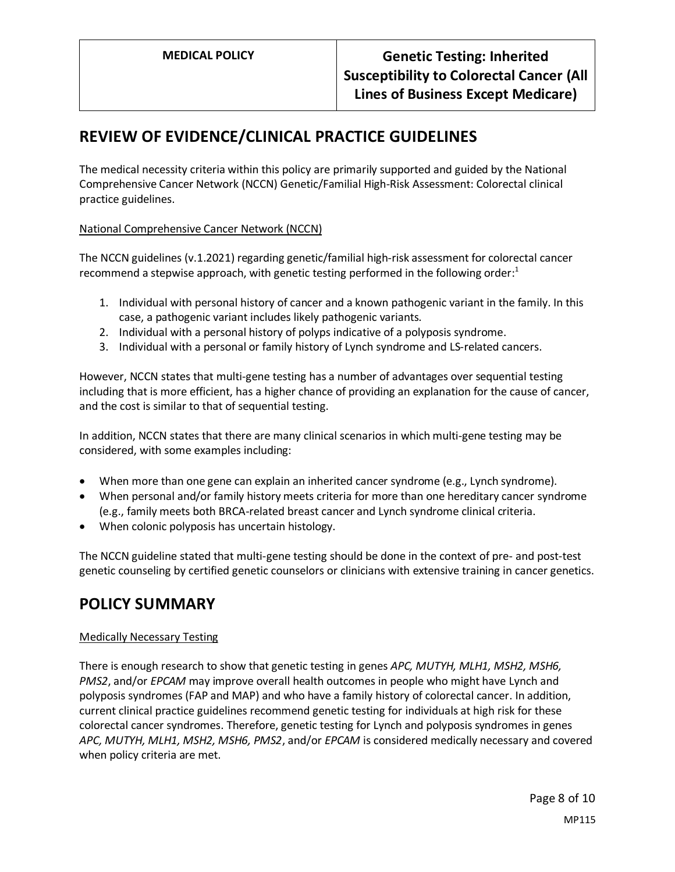## **REVIEW OF EVIDENCE/CLINICAL PRACTICE GUIDELINES**

The medical necessity criteria within this policy are primarily supported and guided by the National Comprehensive Cancer Network (NCCN) Genetic/Familial High-Risk Assessment: Colorectal clinical practice guidelines.

## National Comprehensive Cancer Network (NCCN)

The NCCN guidelines (v.1.2021) regarding genetic/familial high-risk assessment for colorectal cancer recommend a stepwise approach, with genetic testing performed in the following order:<sup>1</sup>

- 1. Individual with personal history of cancer and a known pathogenic variant in the family. In this case, a pathogenic variant includes likely pathogenic variants.
- 2. Individual with a personal history of polyps indicative of a polyposis syndrome.
- 3. Individual with a personal or family history of Lynch syndrome and LS-related cancers.

However, NCCN states that multi-gene testing has a number of advantages over sequential testing including that is more efficient, has a higher chance of providing an explanation for the cause of cancer, and the cost is similar to that of sequential testing.

In addition, NCCN states that there are many clinical scenarios in which multi-gene testing may be considered, with some examples including:

- When more than one gene can explain an inherited cancer syndrome (e.g., Lynch syndrome).
- When personal and/or family history meets criteria for more than one hereditary cancer syndrome (e.g., family meets both BRCA-related breast cancer and Lynch syndrome clinical criteria.
- When colonic polyposis has uncertain histology.

The NCCN guideline stated that multi-gene testing should be done in the context of pre- and post-test genetic counseling by certified genetic counselors or clinicians with extensive training in cancer genetics.

## <span id="page-7-0"></span>**POLICY SUMMARY**

## Medically Necessary Testing

There is enough research to show that genetic testing in genes *APC, MUTYH, MLH1, MSH2, MSH6, PMS2*, and/or *EPCAM* may improve overall health outcomes in people who might have Lynch and polyposis syndromes (FAP and MAP) and who have a family history of colorectal cancer. In addition, current clinical practice guidelines recommend genetic testing for individuals at high risk for these colorectal cancer syndromes. Therefore, genetic testing for Lynch and polyposis syndromes in genes *APC, MUTYH, MLH1, MSH2, MSH6, PMS2*, and/or *EPCAM* is considered medically necessary and covered when policy criteria are met.

> Page 8 of 10 MP115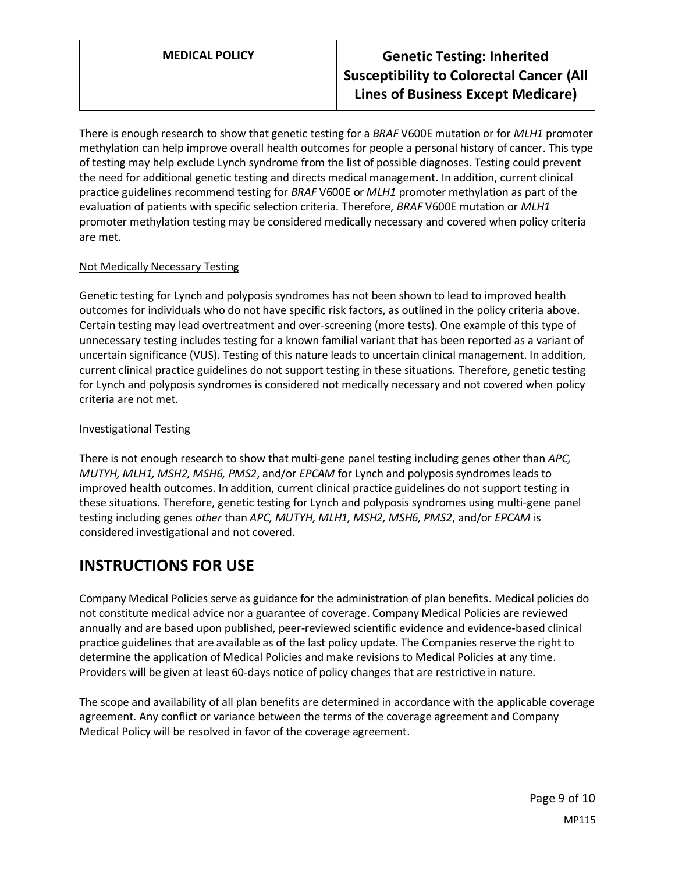## **MEDICAL POLICY Genetic Testing: Inherited Susceptibility to Colorectal Cancer (All Lines of Business Except Medicare)**

There is enough research to show that genetic testing for a *BRAF* V600E mutation or for *MLH1* promoter methylation can help improve overall health outcomes for people a personal history of cancer. This type of testing may help exclude Lynch syndrome from the list of possible diagnoses. Testing could prevent the need for additional genetic testing and directs medical management. In addition, current clinical practice guidelines recommend testing for *BRAF* V600E or *MLH1* promoter methylation as part of the evaluation of patients with specific selection criteria. Therefore, *BRAF* V600E mutation or *MLH1* promoter methylation testing may be considered medically necessary and covered when policy criteria are met.

#### Not Medically Necessary Testing

Genetic testing for Lynch and polyposis syndromes has not been shown to lead to improved health outcomes for individuals who do not have specific risk factors, as outlined in the policy criteria above. Certain testing may lead overtreatment and over-screening (more tests). One example of this type of unnecessary testing includes testing for a known familial variant that has been reported as a variant of uncertain significance (VUS). Testing of this nature leads to uncertain clinical management. In addition, current clinical practice guidelines do not support testing in these situations. Therefore, genetic testing for Lynch and polyposis syndromes is considered not medically necessary and not covered when policy criteria are not met.

#### Investigational Testing

There is not enough research to show that multi-gene panel testing including genes other than *APC, MUTYH, MLH1, MSH2, MSH6, PMS2*, and/or *EPCAM* for Lynch and polyposis syndromes leads to improved health outcomes. In addition, current clinical practice guidelines do not support testing in these situations. Therefore, genetic testing for Lynch and polyposis syndromes using multi-gene panel testing including genes *other* than *APC, MUTYH, MLH1, MSH2, MSH6, PMS2*, and/or *EPCAM* is considered investigational and not covered.

## **INSTRUCTIONS FOR USE**

Company Medical Policies serve as guidance for the administration of plan benefits. Medical policies do not constitute medical advice nor a guarantee of coverage. Company Medical Policies are reviewed annually and are based upon published, peer-reviewed scientific evidence and evidence-based clinical practice guidelines that are available as of the last policy update. The Companies reserve the right to determine the application of Medical Policies and make revisions to Medical Policies at any time. Providers will be given at least 60-days notice of policy changes that are restrictive in nature.

The scope and availability of all plan benefits are determined in accordance with the applicable coverage agreement. Any conflict or variance between the terms of the coverage agreement and Company Medical Policy will be resolved in favor of the coverage agreement.